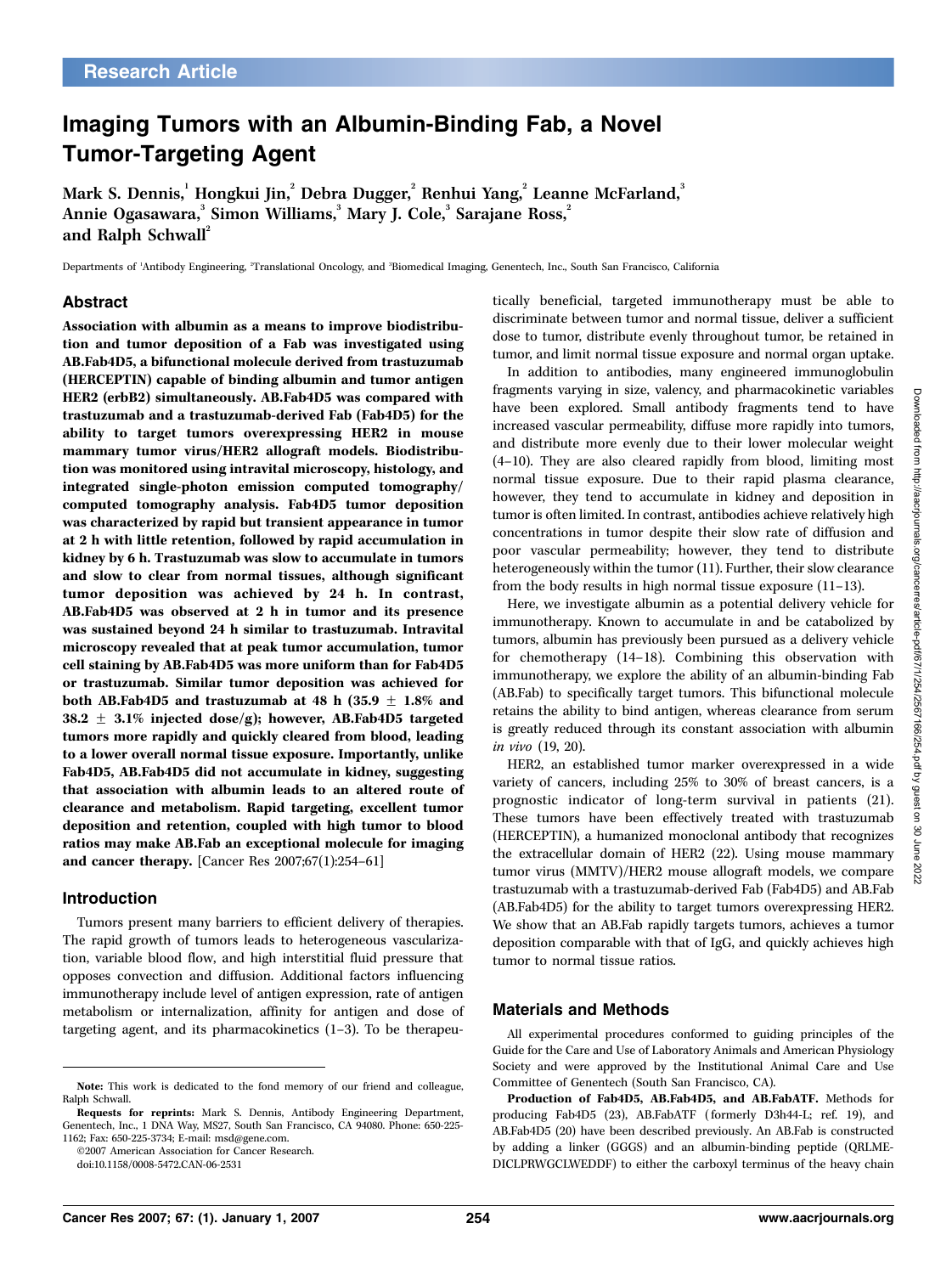# Imaging Tumors with an Albumin-Binding Fab, a Novel Tumor-Targeting Agent

Mark S. Dennis, $^{\rm l}$  Hongkui Jin, $^{\rm 2}$  Debra Dugger, $^{\rm 2}$  Renhui Yang, $^{\rm 2}$  Leanne McFarland, $^{\rm 3}$ Annie Ogasawara, $^3$  Simon Williams, $^3$  Mary J. Cole, $^3$  Sarajane Ross, $^2$ and Ralph Schwall<sup>2</sup>

Departments of 'Antibody Engineering, "Translational Oncology, and "Biomedical Imaging, Genentech, Inc., South San Francisco, California

## Abstract

Association with albumin as a means to improve biodistribution and tumor deposition of a Fab was investigated using AB.Fab4D5, a bifunctional molecule derived from trastuzumab (HERCEPTIN) capable of binding albumin and tumor antigen HER2 (erbB2) simultaneously. AB.Fab4D5 was compared with trastuzumab and a trastuzumab-derived Fab (Fab4D5) for the ability to target tumors overexpressing HER2 in mouse mammary tumor virus/HER2 allograft models. Biodistribution was monitored using intravital microscopy, histology, and integrated single-photon emission computed tomography/ computed tomography analysis. Fab4D5 tumor deposition was characterized by rapid but transient appearance in tumor at 2 h with little retention, followed by rapid accumulation in kidney by 6 h. Trastuzumab was slow to accumulate in tumors and slow to clear from normal tissues, although significant tumor deposition was achieved by 24 h. In contrast, AB.Fab4D5 was observed at 2 h in tumor and its presence was sustained beyond 24 h similar to trastuzumab. Intravital microscopy revealed that at peak tumor accumulation, tumor cell staining by AB.Fab4D5 was more uniform than for Fab4D5 or trastuzumab. Similar tumor deposition was achieved for both AB.Fab4D5 and trastuzumab at 48 h (35.9  $\pm$  1.8% and 38.2  $\pm$  3.1% injected dose/g); however, AB.Fab4D5 targeted tumors more rapidly and quickly cleared from blood, leading to a lower overall normal tissue exposure. Importantly, unlike Fab4D5, AB.Fab4D5 did not accumulate in kidney, suggesting that association with albumin leads to an altered route of clearance and metabolism. Rapid targeting, excellent tumor deposition and retention, coupled with high tumor to blood ratios may make AB.Fab an exceptional molecule for imaging and cancer therapy. [Cancer Res 2007;67(1):254–61]

## Introduction

Tumors present many barriers to efficient delivery of therapies. The rapid growth of tumors leads to heterogeneous vascularization, variable blood flow, and high interstitial fluid pressure that opposes convection and diffusion. Additional factors influencing immunotherapy include level of antigen expression, rate of antigen metabolism or internalization, affinity for antigen and dose of targeting agent, and its pharmacokinetics (1–3). To be therapeu-

©2007 American Association for Cancer Research.

doi:10.1158/0008-5472.CAN-06-2531

tically beneficial, targeted immunotherapy must be able to discriminate between tumor and normal tissue, deliver a sufficient dose to tumor, distribute evenly throughout tumor, be retained in tumor, and limit normal tissue exposure and normal organ uptake.

In addition to antibodies, many engineered immunoglobulin fragments varying in size, valency, and pharmacokinetic variables have been explored. Small antibody fragments tend to have increased vascular permeability, diffuse more rapidly into tumors, and distribute more evenly due to their lower molecular weight (4–10). They are also cleared rapidly from blood, limiting most normal tissue exposure. Due to their rapid plasma clearance, however, they tend to accumulate in kidney and deposition in tumor is often limited. In contrast, antibodies achieve relatively high concentrations in tumor despite their slow rate of diffusion and poor vascular permeability; however, they tend to distribute heterogeneously within the tumor (11). Further, their slow clearance from the body results in high normal tissue exposure (11–13).

Here, we investigate albumin as a potential delivery vehicle for immunotherapy. Known to accumulate in and be catabolized by tumors, albumin has previously been pursued as a delivery vehicle for chemotherapy (14–18). Combining this observation with immunotherapy, we explore the ability of an albumin-binding Fab (AB.Fab) to specifically target tumors. This bifunctional molecule retains the ability to bind antigen, whereas clearance from serum is greatly reduced through its constant association with albumin in vivo (19, 20).

HER2, an established tumor marker overexpressed in a wide variety of cancers, including 25% to 30% of breast cancers, is a prognostic indicator of long-term survival in patients (21). These tumors have been effectively treated with trastuzumab (HERCEPTIN), a humanized monoclonal antibody that recognizes the extracellular domain of HER2 (22). Using mouse mammary tumor virus (MMTV)/HER2 mouse allograft models, we compare trastuzumab with a trastuzumab-derived Fab (Fab4D5) and AB.Fab (AB.Fab4D5) for the ability to target tumors overexpressing HER2. We show that an AB.Fab rapidly targets tumors, achieves a tumor deposition comparable with that of IgG, and quickly achieves high tumor to normal tissue ratios.

#### Materials and Methods

All experimental procedures conformed to guiding principles of the Guide for the Care and Use of Laboratory Animals and American Physiology Society and were approved by the Institutional Animal Care and Use Committee of Genentech (South San Francisco, CA).

Note: This work is dedicated to the fond memory of our friend and colleague, Ralph Schwall.

Requests for reprints: Mark S. Dennis, Antibody Engineering Department, Genentech, Inc., 1 DNA Way, MS27, South San Francisco, CA 94080. Phone: 650-225- 1162; Fax: 650-225-3734; E-mail: msd@gene.com.

Production of Fab4D5, AB.Fab4D5, and AB.FabATF. Methods for producing Fab4D5 (23), AB.FabATF (formerly D3h44-L; ref. 19), and AB.Fab4D5 (20) have been described previously. An AB.Fab is constructed by adding a linker (GGGS) and an albumin-binding peptide (QRLME-DICLPRWGCLWEDDF) to either the carboxyl terminus of the heavy chain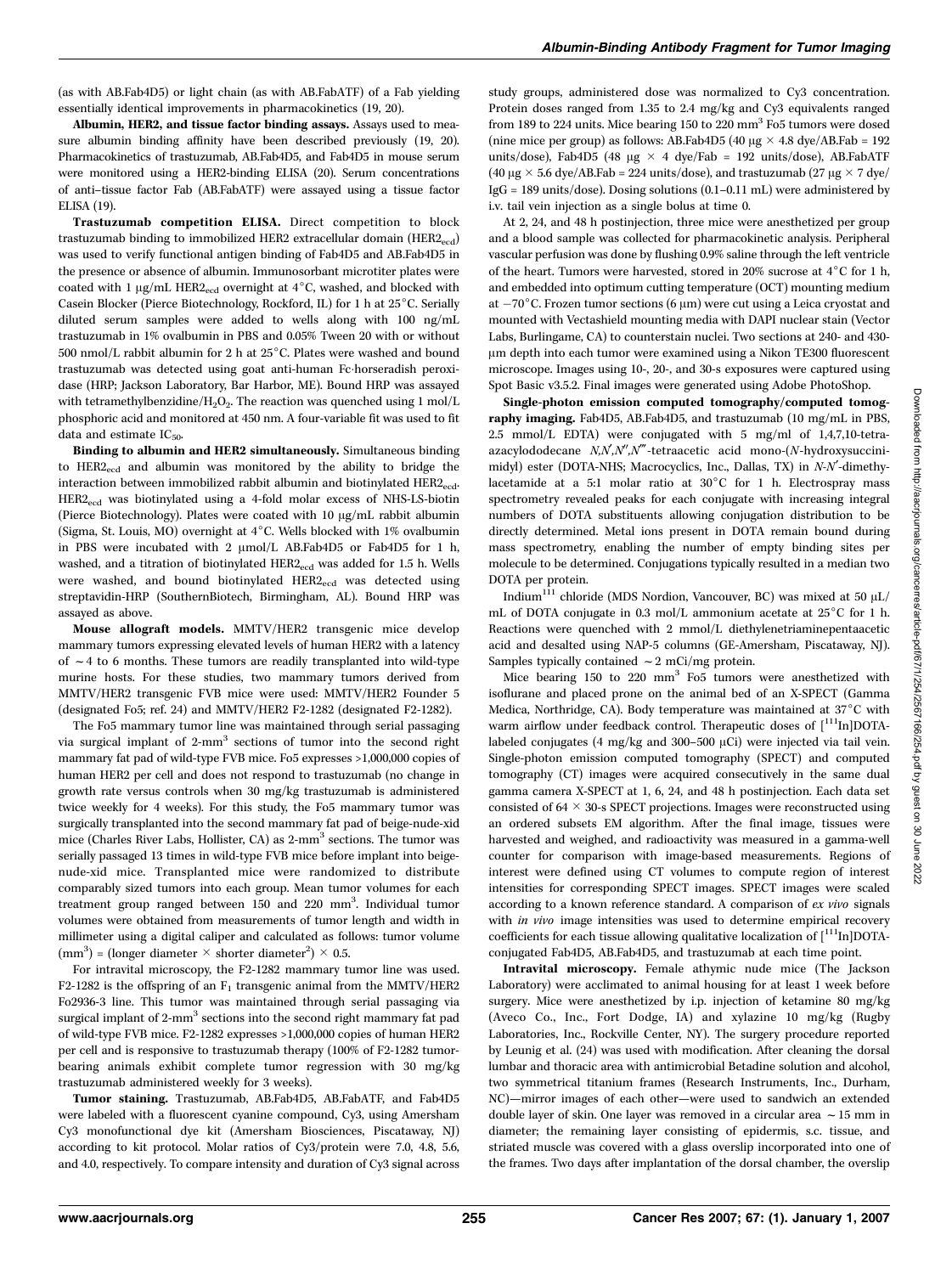(as with AB.Fab4D5) or light chain (as with AB.FabATF) of a Fab yielding essentially identical improvements in pharmacokinetics (19, 20).

Albumin, HER2, and tissue factor binding assays. Assays used to measure albumin binding affinity have been described previously (19, 20). Pharmacokinetics of trastuzumab, AB.Fab4D5, and Fab4D5 in mouse serum were monitored using a HER2-binding ELISA (20). Serum concentrations of anti–tissue factor Fab (AB.FabATF) were assayed using a tissue factor ELISA (19).

Trastuzumab competition ELISA. Direct competition to block trastuzumab binding to immobilized HER2 extracellular domain ( $HER2_{\text{ecd}}$ ) was used to verify functional antigen binding of Fab4D5 and AB.Fab4D5 in the presence or absence of albumin. Immunosorbant microtiter plates were coated with 1  $\mu$ g/mL HER2<sub>ecd</sub> overnight at 4°C, washed, and blocked with Casein Blocker (Pierce Biotechnology, Rockford, IL) for 1 h at 25°C. Serially diluted serum samples were added to wells along with 100 ng/mL trastuzumab in 1% ovalbumin in PBS and 0.05% Tween 20 with or without 500 nmol/L rabbit albumin for 2 h at  $25^{\circ}$ C. Plates were washed and bound trastuzumab was detected using goat anti-human Fc·horseradish peroxidase (HRP; Jackson Laboratory, Bar Harbor, ME). Bound HRP was assayed with tetramethylbenzidine/ $H_2O_2$ . The reaction was quenched using 1 mol/L phosphoric acid and monitored at 450 nm. A four-variable fit was used to fit data and estimate  $IC_{50}$ .

Binding to albumin and HER2 simultaneously. Simultaneous binding to HER2ecd and albumin was monitored by the ability to bridge the interaction between immobilized rabbit albumin and biotinylated HER2<sub>ecd</sub>. HER2<sub>ecd</sub> was biotinylated using a 4-fold molar excess of NHS-LS-biotin (Pierce Biotechnology). Plates were coated with 10 µg/mL rabbit albumin (Sigma, St. Louis, MO) overnight at  $4^{\circ}$ C. Wells blocked with 1% ovalbumin in PBS were incubated with 2  $\mu$ mol/L AB.Fab4D5 or Fab4D5 for 1 h, washed, and a titration of biotinylated HER2<sub>ecd</sub> was added for 1.5 h. Wells were washed, and bound biotinylated HER2<sub>ecd</sub> was detected using streptavidin-HRP (SouthernBiotech, Birmingham, AL). Bound HRP was assayed as above.

Mouse allograft models. MMTV/HER2 transgenic mice develop mammary tumors expressing elevated levels of human HER2 with a latency of  $\sim$  4 to 6 months. These tumors are readily transplanted into wild-type murine hosts. For these studies, two mammary tumors derived from MMTV/HER2 transgenic FVB mice were used: MMTV/HER2 Founder 5 (designated Fo5; ref. 24) and MMTV/HER2 F2-1282 (designated F2-1282).

The Fo5 mammary tumor line was maintained through serial passaging via surgical implant of 2-mm<sup>3</sup> sections of tumor into the second right mammary fat pad of wild-type FVB mice. Fo5 expresses >1,000,000 copies of human HER2 per cell and does not respond to trastuzumab (no change in growth rate versus controls when 30 mg/kg trastuzumab is administered twice weekly for 4 weeks). For this study, the Fo5 mammary tumor was surgically transplanted into the second mammary fat pad of beige-nude-xid mice (Charles River Labs, Hollister, CA) as 2-mm<sup>3</sup> sections. The tumor was serially passaged 13 times in wild-type FVB mice before implant into beigenude-xid mice. Transplanted mice were randomized to distribute comparably sized tumors into each group. Mean tumor volumes for each treatment group ranged between 150 and 220 mm3 . Individual tumor volumes were obtained from measurements of tumor length and width in millimeter using a digital caliper and calculated as follows: tumor volume  $\text{(mm}^3) = \text{(longer diameter} \times \text{shorter diameter}^2) \times 0.5.$ 

For intravital microscopy, the F2-1282 mammary tumor line was used. F2-1282 is the offspring of an  $F_1$  transgenic animal from the MMTV/HER2 Fo2936-3 line. This tumor was maintained through serial passaging via surgical implant of 2-mm<sup>3</sup> sections into the second right mammary fat pad of wild-type FVB mice. F2-1282 expresses >1,000,000 copies of human HER2 per cell and is responsive to trastuzumab therapy (100% of F2-1282 tumorbearing animals exhibit complete tumor regression with 30 mg/kg trastuzumab administered weekly for 3 weeks).

Tumor staining. Trastuzumab, AB.Fab4D5, AB.FabATF, and Fab4D5 were labeled with a fluorescent cyanine compound, Cy3, using Amersham Cy3 monofunctional dye kit (Amersham Biosciences, Piscataway, NJ) according to kit protocol. Molar ratios of Cy3/protein were 7.0, 4.8, 5.6, and 4.0, respectively. To compare intensity and duration of Cy3 signal across study groups, administered dose was normalized to Cy3 concentration. Protein doses ranged from 1.35 to 2.4 mg/kg and Cy3 equivalents ranged from 189 to 224 units. Mice bearing 150 to 220 mm<sup>3</sup> Fo5 tumors were dosed (nine mice per group) as follows: AB.Fab4D5 (40  $\mu$ g  $\times$  4.8 dye/AB.Fab = 192 units/dose), Fab4D5 (48 µg  $\times$  4 dye/Fab = 192 units/dose), AB.FabATF (40  $\mu$ g  $\times$  5.6 dye/AB.Fab = 224 units/dose), and trastuzumab (27  $\mu$ g  $\times$  7 dye/ IgG = 189 units/dose). Dosing solutions (0.1–0.11 mL) were administered by i.v. tail vein injection as a single bolus at time 0.

At 2, 24, and 48 h postinjection, three mice were anesthetized per group and a blood sample was collected for pharmacokinetic analysis. Peripheral vascular perfusion was done by flushing 0.9% saline through the left ventricle of the heart. Tumors were harvested, stored in 20% sucrose at  $4^{\circ}$ C for 1 h, and embedded into optimum cutting temperature (OCT) mounting medium at  $-70^{\circ}$ C. Frozen tumor sections (6  $\mu$ m) were cut using a Leica cryostat and mounted with Vectashield mounting media with DAPI nuclear stain (Vector Labs, Burlingame, CA) to counterstain nuclei. Two sections at 240- and 430- Am depth into each tumor were examined using a Nikon TE300 fluorescent microscope. Images using 10-, 20-, and 30-s exposures were captured using Spot Basic v3.5.2. Final images were generated using Adobe PhotoShop.

Single-photon emission computed tomography/computed tomography imaging. Fab4D5, AB.Fab4D5, and trastuzumab (10 mg/mL in PBS, 2.5 mmol/L EDTA) were conjugated with 5 mg/ml of 1,4,7,10-tetraazacylododecane N,N',N",N"-tetraacetic acid mono-(N-hydroxysuccinimidyl) ester (DOTA-NHS; Macrocyclics, Inc., Dallas, TX) in N-N'-dimethylacetamide at a 5:1 molar ratio at  $30^{\circ}$ C for 1 h. Electrospray mass spectrometry revealed peaks for each conjugate with increasing integral numbers of DOTA substituents allowing conjugation distribution to be directly determined. Metal ions present in DOTA remain bound during mass spectrometry, enabling the number of empty binding sites per molecule to be determined. Conjugations typically resulted in a median two

DOTA per protein.<br>Indium<sup>111</sup> chloride (MDS Nordion, Vancouver, BC) was mixed at 50  $\mu$ L/ mL of DOTA conjugate in 0.3 mol/L ammonium acetate at  $25^{\circ}$ C for 1 h. Reactions were quenched with 2 mmol/L diethylenetriaminepentaacetic acid and desalted using NAP-5 columns (GE-Amersham, Piscataway, NJ). Samples typically contained  $\sim$  2 mCi/mg protein.

Mice bearing 150 to 220 mm<sup>3</sup> Fo5 tumors were anesthetized with isoflurane and placed prone on the animal bed of an X-SPECT (Gamma Medica, Northridge, CA). Body temperature was maintained at  $37^{\circ}$ C with warm airflow under feedback control. Therapeutic doses of  $\lfloor 111 \ln |$ DOTAlabeled conjugates (4 mg/kg and 300-500  $\mu$ Ci) were injected via tail vein. Single-photon emission computed tomography (SPECT) and computed tomography (CT) images were acquired consecutively in the same dual gamma camera X-SPECT at 1, 6, 24, and 48 h postinjection. Each data set consisted of 64  $\times$  30-s SPECT projections. Images were reconstructed using an ordered subsets EM algorithm. After the final image, tissues were harvested and weighed, and radioactivity was measured in a gamma-well counter for comparison with image-based measurements. Regions of interest were defined using CT volumes to compute region of interest intensities for corresponding SPECT images. SPECT images were scaled according to a known reference standard. A comparison of ex vivo signals with in vivo image intensities was used to determine empirical recovery coefficients for each tissue allowing qualitative localization of  $[111]$ In]DOTAconjugated Fab4D5, AB.Fab4D5, and trastuzumab at each time point.

Intravital microscopy. Female athymic nude mice (The Jackson Laboratory) were acclimated to animal housing for at least 1 week before surgery. Mice were anesthetized by i.p. injection of ketamine 80 mg/kg (Aveco Co., Inc., Fort Dodge, IA) and xylazine 10 mg/kg (Rugby Laboratories, Inc., Rockville Center, NY). The surgery procedure reported by Leunig et al. (24) was used with modification. After cleaning the dorsal lumbar and thoracic area with antimicrobial Betadine solution and alcohol, two symmetrical titanium frames (Research Instruments, Inc., Durham, NC)—mirror images of each other—were used to sandwich an extended double layer of skin. One layer was removed in a circular area  $\sim$  15 mm in diameter; the remaining layer consisting of epidermis, s.c. tissue, and striated muscle was covered with a glass overslip incorporated into one of the frames. Two days after implantation of the dorsal chamber, the overslip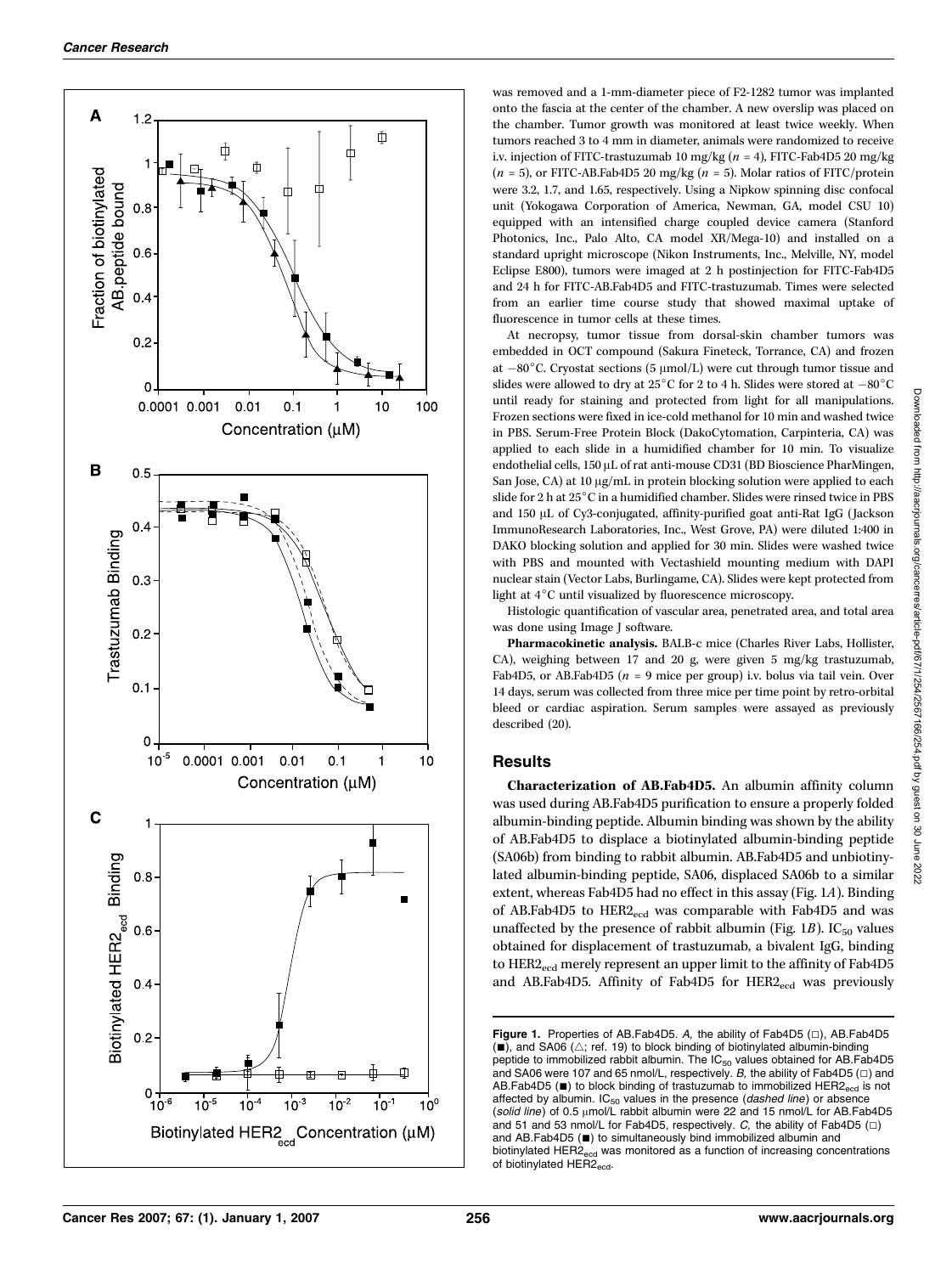

was removed and a 1-mm-diameter piece of F2-1282 tumor was implanted onto the fascia at the center of the chamber. A new overslip was placed on the chamber. Tumor growth was monitored at least twice weekly. When tumors reached 3 to 4 mm in diameter, animals were randomized to receive i.v. injection of FITC-trastuzumab 10 mg/kg ( $n = 4$ ), FITC-Fab4D5 20 mg/kg  $(n = 5)$ , or FITC-AB.Fab4D5 20 mg/kg  $(n = 5)$ . Molar ratios of FITC/protein were 3.2, 1.7, and 1.65, respectively. Using a Nipkow spinning disc confocal unit (Yokogawa Corporation of America, Newman, GA, model CSU 10) equipped with an intensified charge coupled device camera (Stanford Photonics, Inc., Palo Alto, CA model XR/Mega-10) and installed on a standard upright microscope (Nikon Instruments, Inc., Melville, NY, model Eclipse E800), tumors were imaged at 2 h postinjection for FITC-Fab4D5 and 24 h for FITC-AB.Fab4D5 and FITC-trastuzumab. Times were selected from an earlier time course study that showed maximal uptake of fluorescence in tumor cells at these times.

At necropsy, tumor tissue from dorsal-skin chamber tumors was embedded in OCT compound (Sakura Fineteck, Torrance, CA) and frozen at  $-80^{\circ}$ C. Cryostat sections (5  $\mu$ mol/L) were cut through tumor tissue and slides were allowed to dry at 25 $^{\circ}$ C for 2 to 4 h. Slides were stored at  $-80^{\circ}$ C until ready for staining and protected from light for all manipulations. Frozen sections were fixed in ice-cold methanol for 10 min and washed twice in PBS. Serum-Free Protein Block (DakoCytomation, Carpinteria, CA) was applied to each slide in a humidified chamber for 10 min. To visualize endothelial cells, 150 µL of rat anti-mouse CD31 (BD Bioscience PharMingen, San Jose, CA) at 10  $\mu$ g/mL in protein blocking solution were applied to each slide for 2 h at  $25^{\circ}$ C in a humidified chamber. Slides were rinsed twice in PBS and 150 µL of Cy3-conjugated, affinity-purified goat anti-Rat IgG (Jackson ImmunoResearch Laboratories, Inc., West Grove, PA) were diluted 1:400 in DAKO blocking solution and applied for 30 min. Slides were washed twice with PBS and mounted with Vectashield mounting medium with DAPI nuclear stain (Vector Labs, Burlingame, CA). Slides were kept protected from light at  $4^{\circ}$ C until visualized by fluorescence microscopy.

Histologic quantification of vascular area, penetrated area, and total area was done using Image J software.

Pharmacokinetic analysis. BALB-c mice (Charles River Labs, Hollister, CA), weighing between 17 and 20 g, were given 5 mg/kg trastuzumab, Fab4D5, or AB.Fab4D5 ( $n = 9$  mice per group) i.v. bolus via tail vein. Over 14 days, serum was collected from three mice per time point by retro-orbital bleed or cardiac aspiration. Serum samples were assayed as previously described (20).

## **Results**

Characterization of AB.Fab4D5. An albumin affinity column was used during AB.Fab4D5 purification to ensure a properly folded albumin-binding peptide. Albumin binding was shown by the ability of AB.Fab4D5 to displace a biotinylated albumin-binding peptide (SA06b) from binding to rabbit albumin. AB.Fab4D5 and unbiotinylated albumin-binding peptide, SA06, displaced SA06b to a similar extent, whereas Fab4D5 had no effect in this assay (Fig. 1A). Binding of AB.Fab4D5 to HER2ecd was comparable with Fab4D5 and was unaffected by the presence of rabbit albumin (Fig. 1B).  $IC_{50}$  values obtained for displacement of trastuzumab, a bivalent IgG, binding to HER2ecd merely represent an upper limit to the affinity of Fab4D5 and AB.Fab4D5. Affinity of Fab4D5 for  $HER2_{\text{ecd}}$  was previously

Figure 1. Properties of AB.Fab4D5. A, the ability of Fab4D5  $(\square)$ , AB.Fab4D5  $(\blacksquare)$ , and SA06 ( $\triangle$ ; ref. 19) to block binding of biotinylated albumin-binding peptide to immobilized rabbit albumin. The  $IC_{50}$  values obtained for AB.Fab4D5 and SA06 were 107 and 65 nmol/L, respectively. B, the ability of Fab4D5  $(\square)$  and AB.Fab4D5 ( $\blacksquare$ ) to block binding of trastuzumab to immobilized HER2<sub>ecd</sub> is not affected by albumin.  $IC_{50}$  values in the presence (dashed line) or absence (solid line) of 0.5 µmol/L rabbit albumin were 22 and 15 nmol/L for AB.Fab4D5 and 51 and 53 nmol/L for Fab4D5, respectively. C, the ability of Fab4D5  $(1)$ and AB.Fab4D5  $($  $\blacksquare$ ) to simultaneously bind immobilized albumin and biotinylated  $HER2_{ecd}$  was monitored as a function of increasing concentrations of biotinylated HER2<sub>ecd</sub>.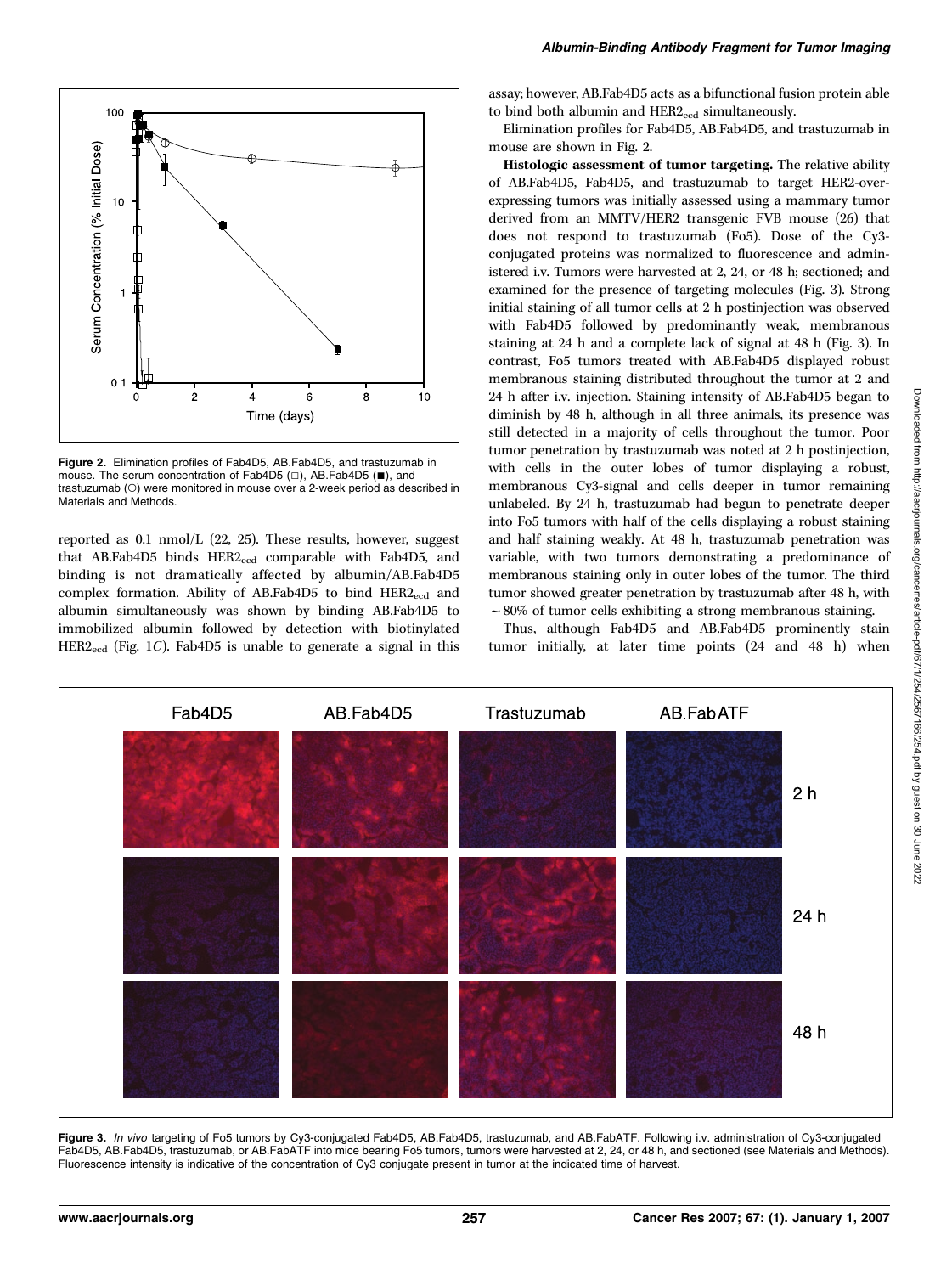

Figure 2. Elimination profiles of Fab4D5, AB.Fab4D5, and trastuzumab in mouse. The serum concentration of Fab4D5 ( $\Box$ ), AB.Fab4D5 ( $\blacksquare$ ), and trastuzumab (O) were monitored in mouse over a 2-week period as described in Materials and Methods.

reported as 0.1 nmol/L (22, 25). These results, however, suggest that AB.Fab4D5 binds HER2<sub>ecd</sub> comparable with Fab4D5, and binding is not dramatically affected by albumin/AB.Fab4D5 complex formation. Ability of AB.Fab4D5 to bind HER2<sub>ecd</sub> and albumin simultaneously was shown by binding AB.Fab4D5 to immobilized albumin followed by detection with biotinylated  $HER2_{ecd}$  (Fig. 1C). Fab4D5 is unable to generate a signal in this assay; however, AB.Fab4D5 acts as a bifunctional fusion protein able to bind both albumin and HER2<sub>ecd</sub> simultaneously.

Elimination profiles for Fab4D5, AB.Fab4D5, and trastuzumab in mouse are shown in Fig. 2.

Histologic assessment of tumor targeting. The relative ability of AB.Fab4D5, Fab4D5, and trastuzumab to target HER2-overexpressing tumors was initially assessed using a mammary tumor derived from an MMTV/HER2 transgenic FVB mouse (26) that does not respond to trastuzumab (Fo5). Dose of the Cy3 conjugated proteins was normalized to fluorescence and administered i.v. Tumors were harvested at 2, 24, or 48 h; sectioned; and examined for the presence of targeting molecules (Fig. 3). Strong initial staining of all tumor cells at 2 h postinjection was observed with Fab4D5 followed by predominantly weak, membranous staining at 24 h and a complete lack of signal at 48 h (Fig. 3). In contrast, Fo5 tumors treated with AB.Fab4D5 displayed robust membranous staining distributed throughout the tumor at 2 and 24 h after i.v. injection. Staining intensity of AB.Fab4D5 began to diminish by 48 h, although in all three animals, its presence was still detected in a majority of cells throughout the tumor. Poor tumor penetration by trastuzumab was noted at 2 h postinjection, with cells in the outer lobes of tumor displaying a robust, membranous Cy3-signal and cells deeper in tumor remaining unlabeled. By 24 h, trastuzumab had begun to penetrate deeper into Fo5 tumors with half of the cells displaying a robust staining and half staining weakly. At 48 h, trastuzumab penetration was variable, with two tumors demonstrating a predominance of membranous staining only in outer lobes of the tumor. The third tumor showed greater penetration by trastuzumab after 48 h, with  $\sim$  80% of tumor cells exhibiting a strong membranous staining.

Thus, although Fab4D5 and AB.Fab4D5 prominently stain tumor initially, at later time points (24 and 48 h) when



Figure 3. In vivo targeting of Fo5 tumors by Cy3-conjugated Fab4D5, AB.Fab4D5, trastuzumab, and AB.FabATF. Following i.v. administration of Cy3-conjugated Fab4D5, AB.Fab4D5, trastuzumab, or AB.FabATF into mice bearing Fo5 tumors, tumors were harvested at 2, 24, or 48 h, and sectioned (see Materials and Methods). Fluorescence intensity is indicative of the concentration of Cy3 conjugate present in tumor at the indicated time of harvest.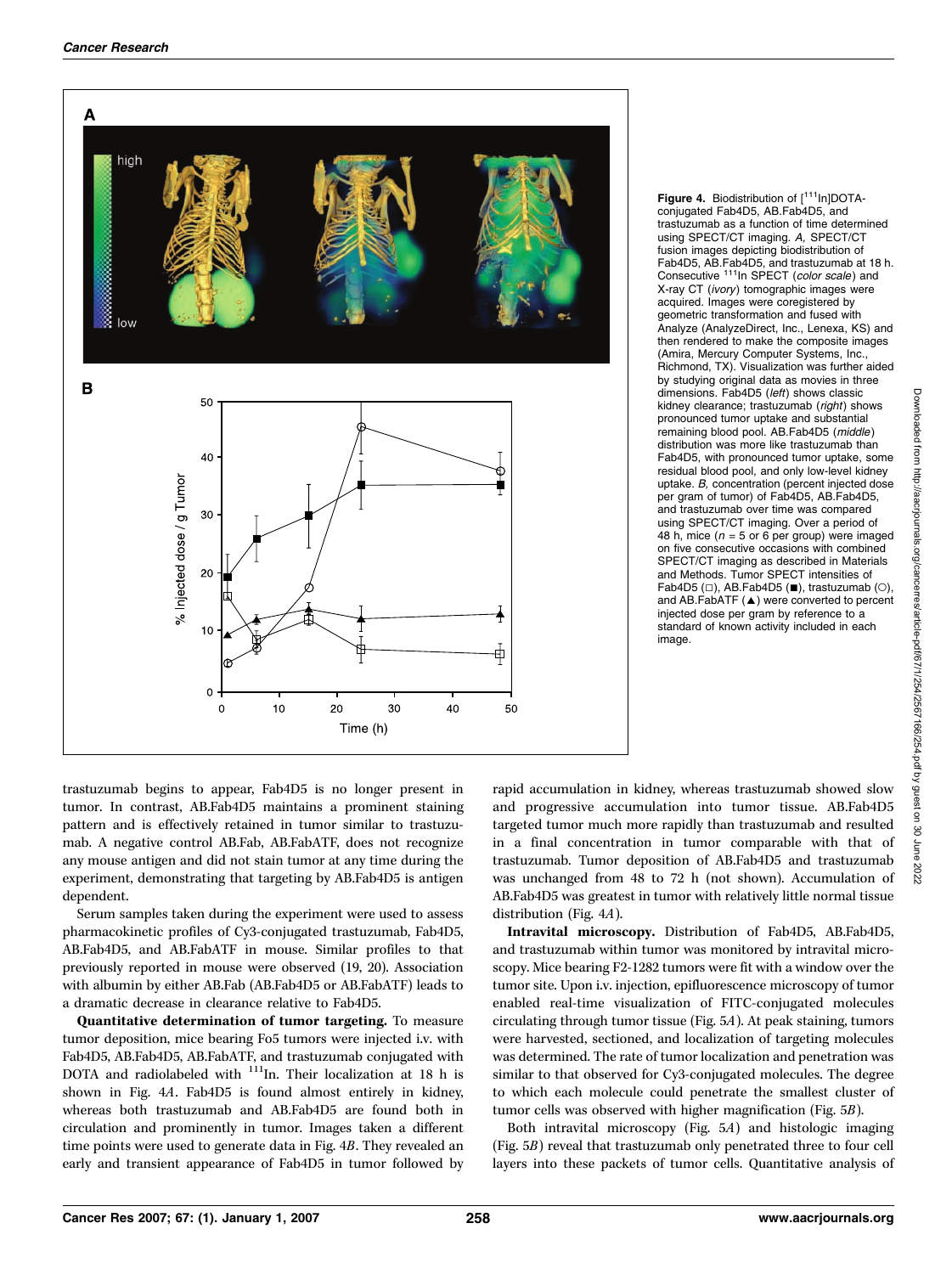

Figure 4. Biodistribution of [111<sub>In</sub>]DOTAconjugated Fab4D5, AB.Fab4D5, and trastuzumab as a function of time determined using SPECT/CT imaging. A, SPECT/CT fusion images depicting biodistribution of Fab4D5, AB.Fab4D5, and trastuzumab at 18 h. Consecutive <sup>111</sup>In SPECT (color scale) and X-ray CT (ivory) tomographic images were acquired. Images were coregistered by geometric transformation and fused with Analyze (AnalyzeDirect, Inc., Lenexa, KS) and then rendered to make the composite images (Amira, Mercury Computer Systems, Inc., Richmond, TX). Visualization was further aided by studying original data as movies in three dimensions. Fab4D5 (left) shows classic kidney clearance; trastuzumab (right) shows pronounced tumor uptake and substantial remaining blood pool. AB.Fab4D5 (middle) distribution was more like trastuzumab than Fab4D5, with pronounced tumor uptake, some residual blood pool, and only low-level kidney uptake. B, concentration (percent injected dose per gram of tumor) of Fab4D5, AB.Fab4D5, and trastuzumab over time was compared using SPECT/CT imaging. Over a period of 48 h, mice ( $n = 5$  or 6 per group) were imaged on five consecutive occasions with combined SPECT/CT imaging as described in Materials and Methods. Tumor SPECT intensities of Fab4D5 (□), AB.Fab4D5 (■), trastuzumab (○), and AB.FabATF  $(A)$  were converted to percent injected dose per gram by reference to a standard of known activity included in each image.

trastuzumab begins to appear, Fab4D5 is no longer present in tumor. In contrast, AB.Fab4D5 maintains a prominent staining pattern and is effectively retained in tumor similar to trastuzumab. A negative control AB.Fab, AB.FabATF, does not recognize any mouse antigen and did not stain tumor at any time during the experiment, demonstrating that targeting by AB.Fab4D5 is antigen dependent.

Serum samples taken during the experiment were used to assess pharmacokinetic profiles of Cy3-conjugated trastuzumab, Fab4D5, AB.Fab4D5, and AB.FabATF in mouse. Similar profiles to that previously reported in mouse were observed (19, 20). Association with albumin by either AB.Fab (AB.Fab4D5 or AB.FabATF) leads to a dramatic decrease in clearance relative to Fab4D5.

Quantitative determination of tumor targeting. To measure tumor deposition, mice bearing Fo5 tumors were injected i.v. with Fab4D5, AB.Fab4D5, AB.FabATF, and trastuzumab conjugated with DOTA and radiolabeled with <sup>111</sup>In. Their localization at 18 h is shown in Fig. 4A. Fab4D5 is found almost entirely in kidney, whereas both trastuzumab and AB.Fab4D5 are found both in circulation and prominently in tumor. Images taken a different time points were used to generate data in Fig. 4B. They revealed an early and transient appearance of Fab4D5 in tumor followed by

rapid accumulation in kidney, whereas trastuzumab showed slow and progressive accumulation into tumor tissue. AB.Fab4D5 targeted tumor much more rapidly than trastuzumab and resulted in a final concentration in tumor comparable with that of trastuzumab. Tumor deposition of AB.Fab4D5 and trastuzumab was unchanged from 48 to 72 h (not shown). Accumulation of AB.Fab4D5 was greatest in tumor with relatively little normal tissue distribution (Fig. 4A).

Intravital microscopy. Distribution of Fab4D5, AB.Fab4D5, and trastuzumab within tumor was monitored by intravital microscopy. Mice bearing F2-1282 tumors were fit with a window over the tumor site. Upon i.v. injection, epifluorescence microscopy of tumor enabled real-time visualization of FITC-conjugated molecules circulating through tumor tissue (Fig. 5A). At peak staining, tumors were harvested, sectioned, and localization of targeting molecules was determined. The rate of tumor localization and penetration was similar to that observed for Cy3-conjugated molecules. The degree to which each molecule could penetrate the smallest cluster of tumor cells was observed with higher magnification (Fig. 5B).

Both intravital microscopy (Fig. 5A) and histologic imaging (Fig. 5B) reveal that trastuzumab only penetrated three to four cell layers into these packets of tumor cells. Quantitative analysis of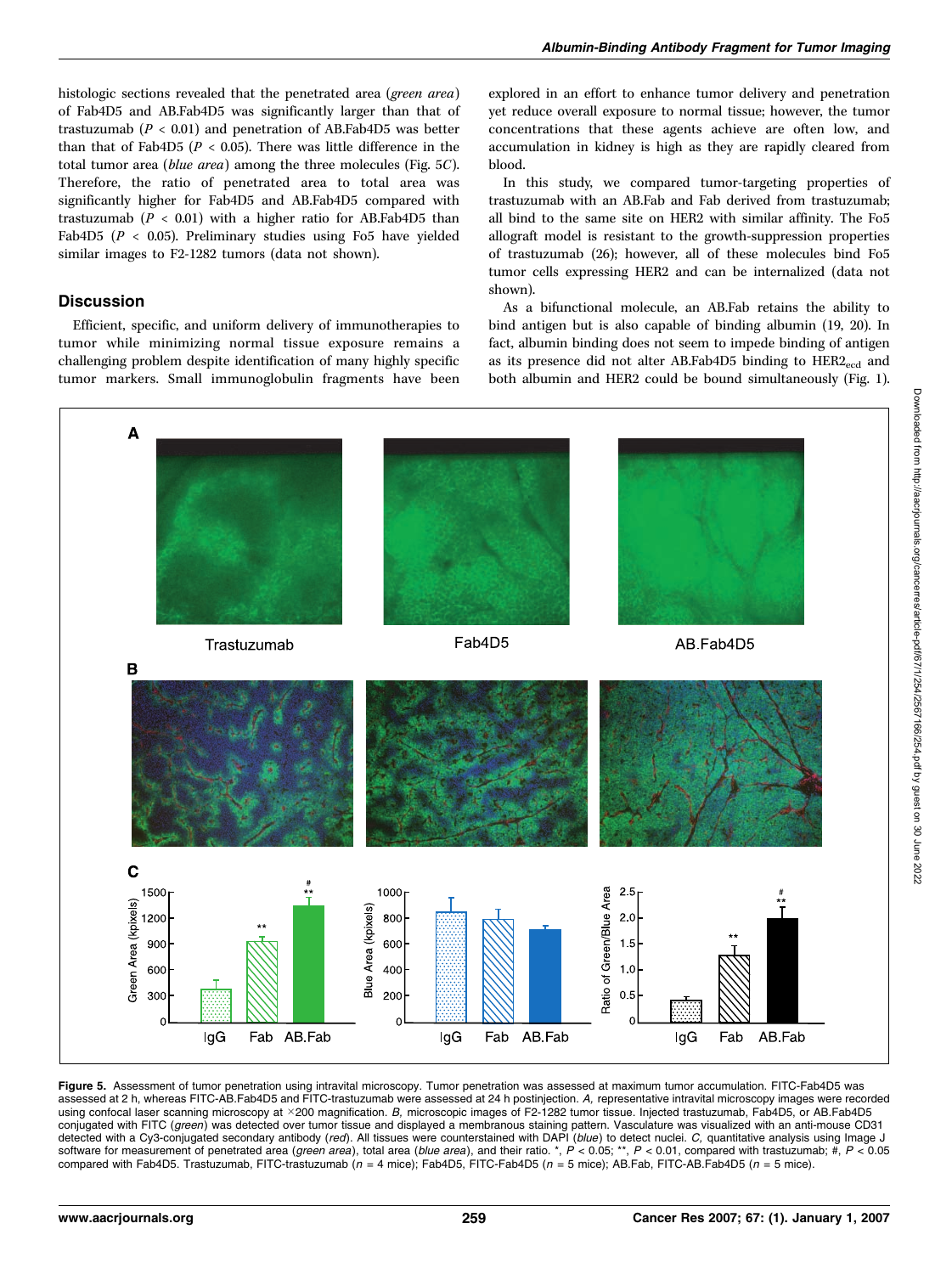histologic sections revealed that the penetrated area (green area) of Fab4D5 and AB.Fab4D5 was significantly larger than that of trastuzumab ( $P < 0.01$ ) and penetration of AB.Fab4D5 was better than that of Fab4D5 ( $P < 0.05$ ). There was little difference in the total tumor area (blue area) among the three molecules (Fig. 5C). Therefore, the ratio of penetrated area to total area was significantly higher for Fab4D5 and AB.Fab4D5 compared with trastuzumab ( $P < 0.01$ ) with a higher ratio for AB.Fab4D5 than Fab4D5 ( $P < 0.05$ ). Preliminary studies using Fo5 have yielded similar images to F2-1282 tumors (data not shown).

## **Discussion**

Efficient, specific, and uniform delivery of immunotherapies to tumor while minimizing normal tissue exposure remains a challenging problem despite identification of many highly specific tumor markers. Small immunoglobulin fragments have been explored in an effort to enhance tumor delivery and penetration yet reduce overall exposure to normal tissue; however, the tumor concentrations that these agents achieve are often low, and accumulation in kidney is high as they are rapidly cleared from blood.

In this study, we compared tumor-targeting properties of trastuzumab with an AB.Fab and Fab derived from trastuzumab; all bind to the same site on HER2 with similar affinity. The Fo5 allograft model is resistant to the growth-suppression properties of trastuzumab (26); however, all of these molecules bind Fo5 tumor cells expressing HER2 and can be internalized (data not shown).

As a bifunctional molecule, an AB.Fab retains the ability to bind antigen but is also capable of binding albumin (19, 20). In fact, albumin binding does not seem to impede binding of antigen as its presence did not alter AB.Fab4D5 binding to HER2<sub>ecd</sub> and both albumin and HER2 could be bound simultaneously (Fig. 1).



Figure 5. Assessment of tumor penetration using intravital microscopy. Tumor penetration was assessed at maximum tumor accumulation. FITC-Fab4D5 was assessed at 2 h, whereas FITC-AB.Fab4D5 and FITC-trastuzumab were assessed at 24 h postinjection. A, representative intravital microscopy images were recorded using confocal laser scanning microscopy at ×200 magnification. B, microscopic images of F2-1282 tumor tissue. Injected trastuzumab, Fab4D5, or AB.Fab4D5 conjugated with FITC (green) was detected over tumor tissue and displayed a membranous staining pattern. Vasculature was visualized with an anti-mouse CD31 detected with a Cy3-conjugated secondary antibody (red). All tissues were counterstained with DAPI (blue) to detect nuclei. C, quantitative analysis using Image J software for measurement of penetrated area (green area), total area (blue area), and their ratio. \*,  $P < 0.05$ ; \*\*,  $P < 0.01$ , compared with trastuzumab; #,  $P < 0.05$ compared with Fab4D5. Trastuzumab, FITC-trastuzumab ( $n = 4$  mice); Fab4D5, FITC-Fab4D5 ( $n = 5$  mice). AB.Fab, FITC-AB.Fab4D5 ( $n = 5$  mice).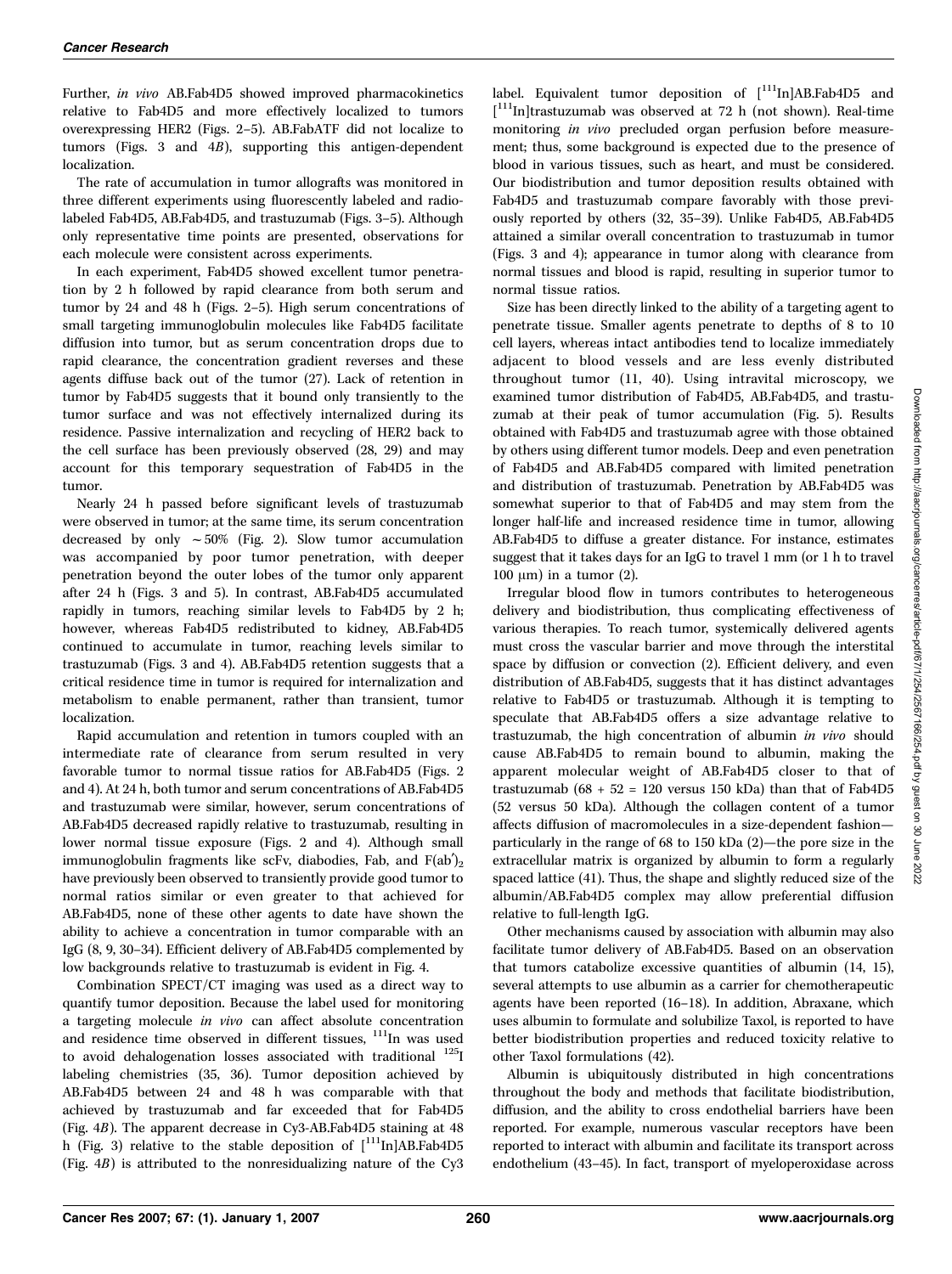Further, in vivo AB.Fab4D5 showed improved pharmacokinetics relative to Fab4D5 and more effectively localized to tumors overexpressing HER2 (Figs. 2–5). AB.FabATF did not localize to tumors (Figs. 3 and 4B), supporting this antigen-dependent localization.

The rate of accumulation in tumor allografts was monitored in three different experiments using fluorescently labeled and radiolabeled Fab4D5, AB.Fab4D5, and trastuzumab (Figs. 3–5). Although only representative time points are presented, observations for each molecule were consistent across experiments.

In each experiment, Fab4D5 showed excellent tumor penetration by 2 h followed by rapid clearance from both serum and tumor by 24 and 48 h (Figs. 2–5). High serum concentrations of small targeting immunoglobulin molecules like Fab4D5 facilitate diffusion into tumor, but as serum concentration drops due to rapid clearance, the concentration gradient reverses and these agents diffuse back out of the tumor (27). Lack of retention in tumor by Fab4D5 suggests that it bound only transiently to the tumor surface and was not effectively internalized during its residence. Passive internalization and recycling of HER2 back to the cell surface has been previously observed (28, 29) and may account for this temporary sequestration of Fab4D5 in the tumor.

Nearly 24 h passed before significant levels of trastuzumab were observed in tumor; at the same time, its serum concentration decreased by only  $\sim 50\%$  (Fig. 2). Slow tumor accumulation was accompanied by poor tumor penetration, with deeper penetration beyond the outer lobes of the tumor only apparent after 24 h (Figs. 3 and 5). In contrast, AB.Fab4D5 accumulated rapidly in tumors, reaching similar levels to Fab4D5 by 2 h; however, whereas Fab4D5 redistributed to kidney, AB.Fab4D5 continued to accumulate in tumor, reaching levels similar to trastuzumab (Figs. 3 and 4). AB.Fab4D5 retention suggests that a critical residence time in tumor is required for internalization and metabolism to enable permanent, rather than transient, tumor localization.

Rapid accumulation and retention in tumors coupled with an intermediate rate of clearance from serum resulted in very favorable tumor to normal tissue ratios for AB.Fab4D5 (Figs. 2 and 4). At 24 h, both tumor and serum concentrations of AB.Fab4D5 and trastuzumab were similar, however, serum concentrations of AB.Fab4D5 decreased rapidly relative to trastuzumab, resulting in lower normal tissue exposure (Figs. 2 and 4). Although small immunoglobulin fragments like scFv, diabodies, Fab, and  $F(ab')_2$ have previously been observed to transiently provide good tumor to normal ratios similar or even greater to that achieved for AB.Fab4D5, none of these other agents to date have shown the ability to achieve a concentration in tumor comparable with an IgG (8, 9, 30–34). Efficient delivery of AB.Fab4D5 complemented by low backgrounds relative to trastuzumab is evident in Fig. 4.

Combination SPECT/CT imaging was used as a direct way to quantify tumor deposition. Because the label used for monitoring a targeting molecule in vivo can affect absolute concentration and residence time observed in different tissues, <sup>111</sup>In was used to avoid dehalogenation losses associated with traditional  $^{125}I$ labeling chemistries (35, 36). Tumor deposition achieved by AB.Fab4D5 between 24 and 48 h was comparable with that achieved by trastuzumab and far exceeded that for Fab4D5 (Fig. 4B). The apparent decrease in Cy3-AB.Fab4D5 staining at 48 h (Fig. 3) relative to the stable deposition of  $\binom{111}{11}$ In]AB.Fab4D5 (Fig. 4B) is attributed to the nonresidualizing nature of the Cy3 label. Equivalent tumor deposition of  $\int_0^{111} \text{In}$ ]AB.Fab4D5 and [<sup>111</sup>In]trastuzumab was observed at 72 h (not shown). Real-time monitoring in vivo precluded organ perfusion before measurement; thus, some background is expected due to the presence of blood in various tissues, such as heart, and must be considered. Our biodistribution and tumor deposition results obtained with Fab4D5 and trastuzumab compare favorably with those previously reported by others (32, 35–39). Unlike Fab4D5, AB.Fab4D5 attained a similar overall concentration to trastuzumab in tumor (Figs. 3 and 4); appearance in tumor along with clearance from normal tissues and blood is rapid, resulting in superior tumor to normal tissue ratios.

Size has been directly linked to the ability of a targeting agent to penetrate tissue. Smaller agents penetrate to depths of 8 to 10 cell layers, whereas intact antibodies tend to localize immediately adjacent to blood vessels and are less evenly distributed throughout tumor (11, 40). Using intravital microscopy, we examined tumor distribution of Fab4D5, AB.Fab4D5, and trastuzumab at their peak of tumor accumulation (Fig. 5). Results obtained with Fab4D5 and trastuzumab agree with those obtained by others using different tumor models. Deep and even penetration of Fab4D5 and AB.Fab4D5 compared with limited penetration and distribution of trastuzumab. Penetration by AB.Fab4D5 was somewhat superior to that of Fab4D5 and may stem from the longer half-life and increased residence time in tumor, allowing AB.Fab4D5 to diffuse a greater distance. For instance, estimates suggest that it takes days for an IgG to travel 1 mm (or 1 h to travel  $100 \mu m$ ) in a tumor  $(2)$ .

Irregular blood flow in tumors contributes to heterogeneous delivery and biodistribution, thus complicating effectiveness of various therapies. To reach tumor, systemically delivered agents must cross the vascular barrier and move through the interstital space by diffusion or convection (2). Efficient delivery, and even distribution of AB.Fab4D5, suggests that it has distinct advantages relative to Fab4D5 or trastuzumab. Although it is tempting to speculate that AB.Fab4D5 offers a size advantage relative to trastuzumab, the high concentration of albumin in vivo should cause AB.Fab4D5 to remain bound to albumin, making the apparent molecular weight of AB.Fab4D5 closer to that of trastuzumab  $(68 + 52 = 120$  versus 150 kDa) than that of Fab4D5 (52 versus 50 kDa). Although the collagen content of a tumor affects diffusion of macromolecules in a size-dependent fashion particularly in the range of 68 to 150 kDa (2)—the pore size in the extracellular matrix is organized by albumin to form a regularly spaced lattice (41). Thus, the shape and slightly reduced size of the albumin/AB.Fab4D5 complex may allow preferential diffusion relative to full-length IgG.

Other mechanisms caused by association with albumin may also facilitate tumor delivery of AB.Fab4D5. Based on an observation that tumors catabolize excessive quantities of albumin (14, 15), several attempts to use albumin as a carrier for chemotherapeutic agents have been reported (16–18). In addition, Abraxane, which uses albumin to formulate and solubilize Taxol, is reported to have better biodistribution properties and reduced toxicity relative to other Taxol formulations (42).

Albumin is ubiquitously distributed in high concentrations throughout the body and methods that facilitate biodistribution, diffusion, and the ability to cross endothelial barriers have been reported. For example, numerous vascular receptors have been reported to interact with albumin and facilitate its transport across endothelium (43–45). In fact, transport of myeloperoxidase across